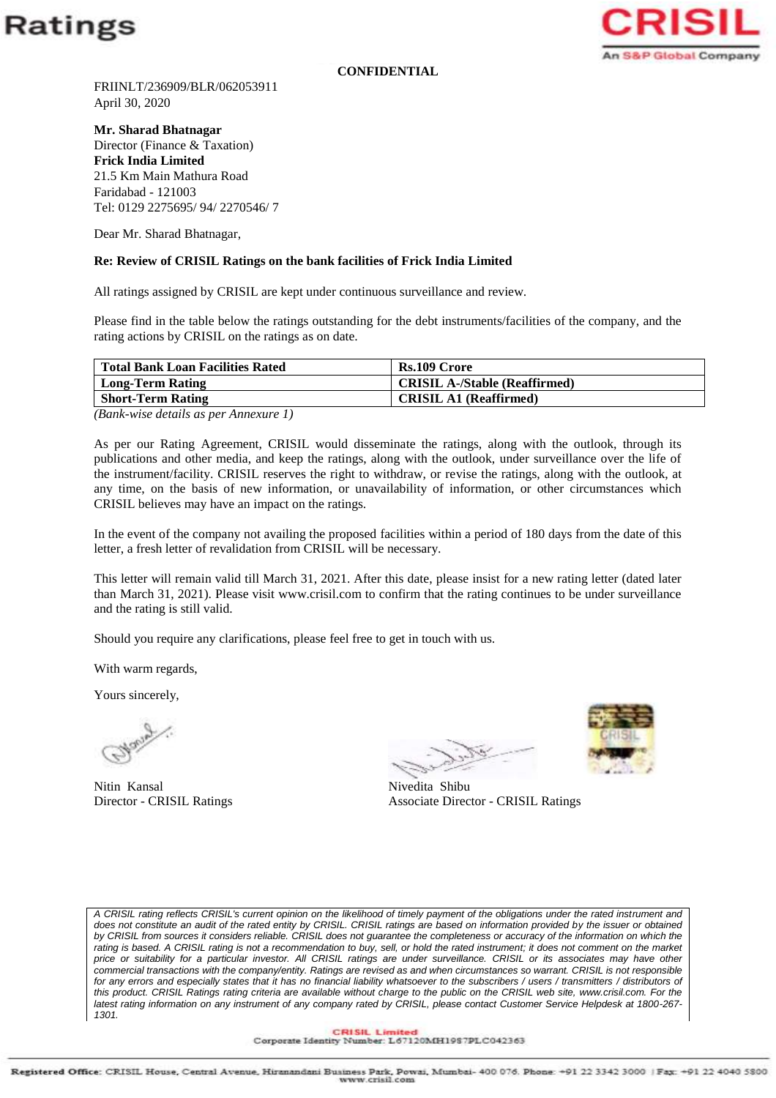

**CONFIDENTIAL**



FRIINLT/236909/BLR/062053911 April 30, 2020

**Mr. Sharad Bhatnagar** Director (Finance & Taxation) **Frick India Limited** 21.5 Km Main Mathura Road Faridabad - 121003 Tel: 0129 2275695/ 94/ 2270546/ 7

Dear Mr. Sharad Bhatnagar,

## **Re: Review of CRISIL Ratings on the bank facilities of Frick India Limited**

All ratings assigned by CRISIL are kept under continuous surveillance and review.

Please find in the table below the ratings outstanding for the debt instruments/facilities of the company, and the rating actions by CRISIL on the ratings as on date.

| <b>Total Bank Loan Facilities Rated</b> | Rs.109 Crore                         |
|-----------------------------------------|--------------------------------------|
| <b>Long-Term Rating</b>                 | <b>CRISIL A-/Stable (Reaffirmed)</b> |
| <b>Short-Term Rating</b>                | <b>CRISIL A1 (Reaffirmed)</b>        |

*(Bank-wise details as per Annexure 1)*

As per our Rating Agreement, CRISIL would disseminate the ratings, along with the outlook, through its publications and other media, and keep the ratings, along with the outlook, under surveillance over the life of the instrument/facility. CRISIL reserves the right to withdraw, or revise the ratings, along with the outlook, at any time, on the basis of new information, or unavailability of information, or other circumstances which CRISIL believes may have an impact on the ratings.

In the event of the company not availing the proposed facilities within a period of 180 days from the date of this letter, a fresh letter of revalidation from CRISIL will be necessary.

This letter will remain valid till March 31, 2021. After this date, please insist for a new rating letter (dated later than March 31, 2021). Please visit www.crisil.com to confirm that the rating continues to be under surveillance and the rating is still valid.

Should you require any clarifications, please feel free to get in touch with us.

With warm regards,

Yours sincerely,

Nitin Kansal Nivedita Shibu

Director - CRISIL Ratings Associate Director - CRISIL Ratings



*A CRISIL rating reflects CRISIL's current opinion on the likelihood of timely payment of the obligations under the rated instrument and*  does not constitute an audit of the rated entity by CRISIL. CRISIL ratings are based on information provided by the issuer or obtained by CRISIL from sources it considers reliable. CRISIL does not guarantee the completeness or accuracy of the information on which the rating is based. A CRISIL rating is not a recommendation to buy, sell, or hold the rated instrument; it does not comment on the market *price or suitability for a particular investor. All CRISIL ratings are under surveillance. CRISIL or its associates may have other commercial transactions with the company/entity. Ratings are revised as and when circumstances so warrant. CRISIL is not responsible*  for any errors and especially states that it has no financial liability whatsoever to the subscribers / users / transmitters / distributors of *this product. CRISIL Ratings rating criteria are available without charge to the public on the CRISIL web site, www.crisil.com. For the latest rating information on any instrument of any company rated by CRISIL, please contact Customer Service Helpdesk at 1800-267- 1301.*

CRISIL Limited<br>Corporate Identity Number: L67120MH1987PLC042363